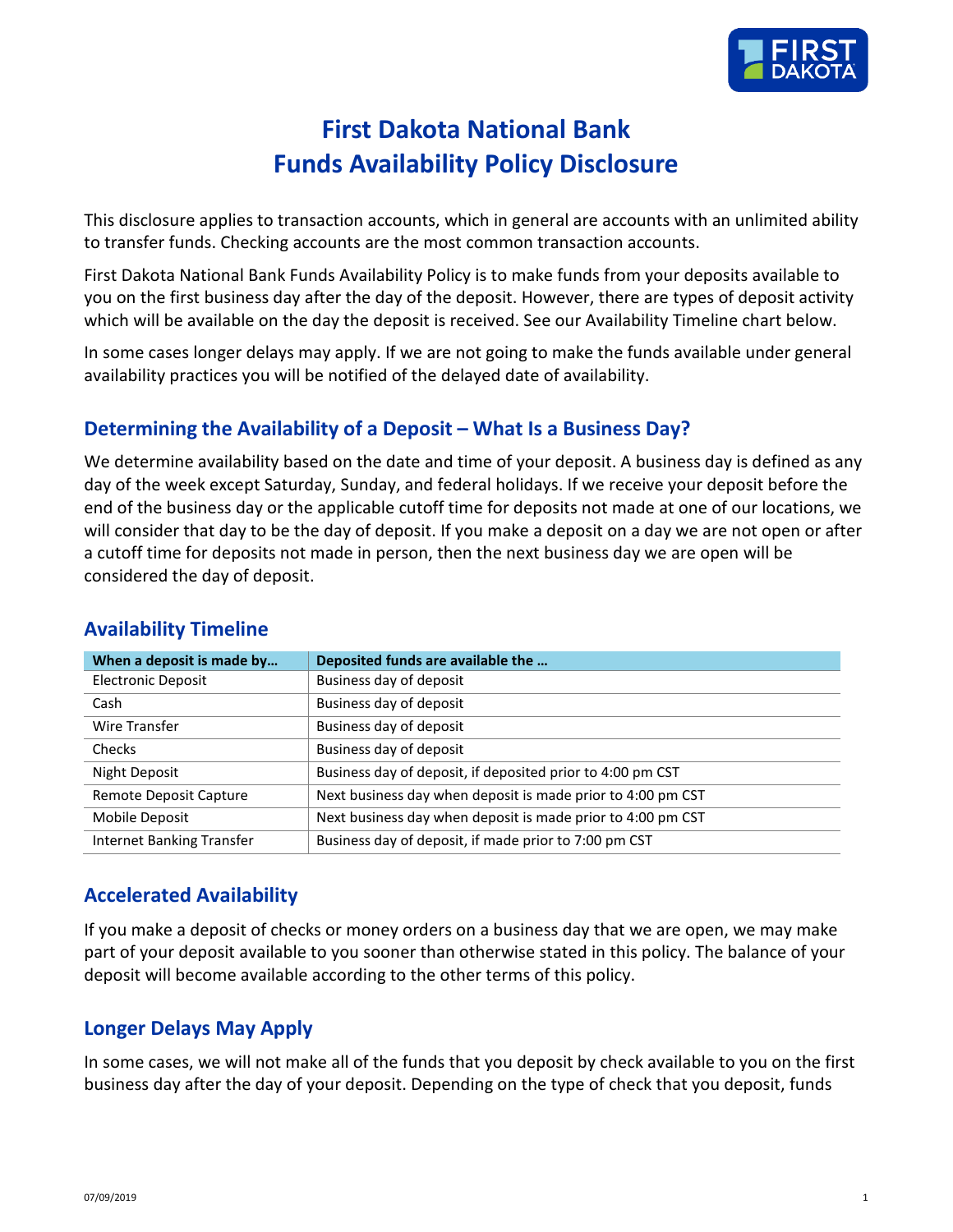

# **First Dakota National Bank Funds Availability Policy Disclosure**

This disclosure applies to transaction accounts, which in general are accounts with an unlimited ability to transfer funds. Checking accounts are the most common transaction accounts.

First Dakota National Bank Funds Availability Policy is to make funds from your deposits available to you on the first business day after the day of the deposit. However, there are types of deposit activity which will be available on the day the deposit is received. See our Availability Timeline chart below.

In some cases longer delays may apply. If we are not going to make the funds available under general availability practices you will be notified of the delayed date of availability.

#### **Determining the Availability of a Deposit – What Is a Business Day?**

We determine availability based on the date and time of your deposit. A business day is defined as any day of the week except Saturday, Sunday, and federal holidays. If we receive your deposit before the end of the business day or the applicable cutoff time for deposits not made at one of our locations, we will consider that day to be the day of deposit. If you make a deposit on a day we are not open or after a cutoff time for deposits not made in person, then the next business day we are open will be considered the day of deposit.

| When a deposit is made by        | Deposited funds are available the                           |
|----------------------------------|-------------------------------------------------------------|
| <b>Electronic Deposit</b>        | Business day of deposit                                     |
| Cash                             | Business day of deposit                                     |
| <b>Wire Transfer</b>             | Business day of deposit                                     |
| <b>Checks</b>                    | Business day of deposit                                     |
| Night Deposit                    | Business day of deposit, if deposited prior to 4:00 pm CST  |
| Remote Deposit Capture           | Next business day when deposit is made prior to 4:00 pm CST |
| Mobile Deposit                   | Next business day when deposit is made prior to 4:00 pm CST |
| <b>Internet Banking Transfer</b> | Business day of deposit, if made prior to 7:00 pm CST       |

#### **Availability Timeline**

#### **Accelerated Availability**

If you make a deposit of checks or money orders on a business day that we are open, we may make part of your deposit available to you sooner than otherwise stated in this policy. The balance of your deposit will become available according to the other terms of this policy.

#### **Longer Delays May Apply**

In some cases, we will not make all of the funds that you deposit by check available to you on the first business day after the day of your deposit. Depending on the type of check that you deposit, funds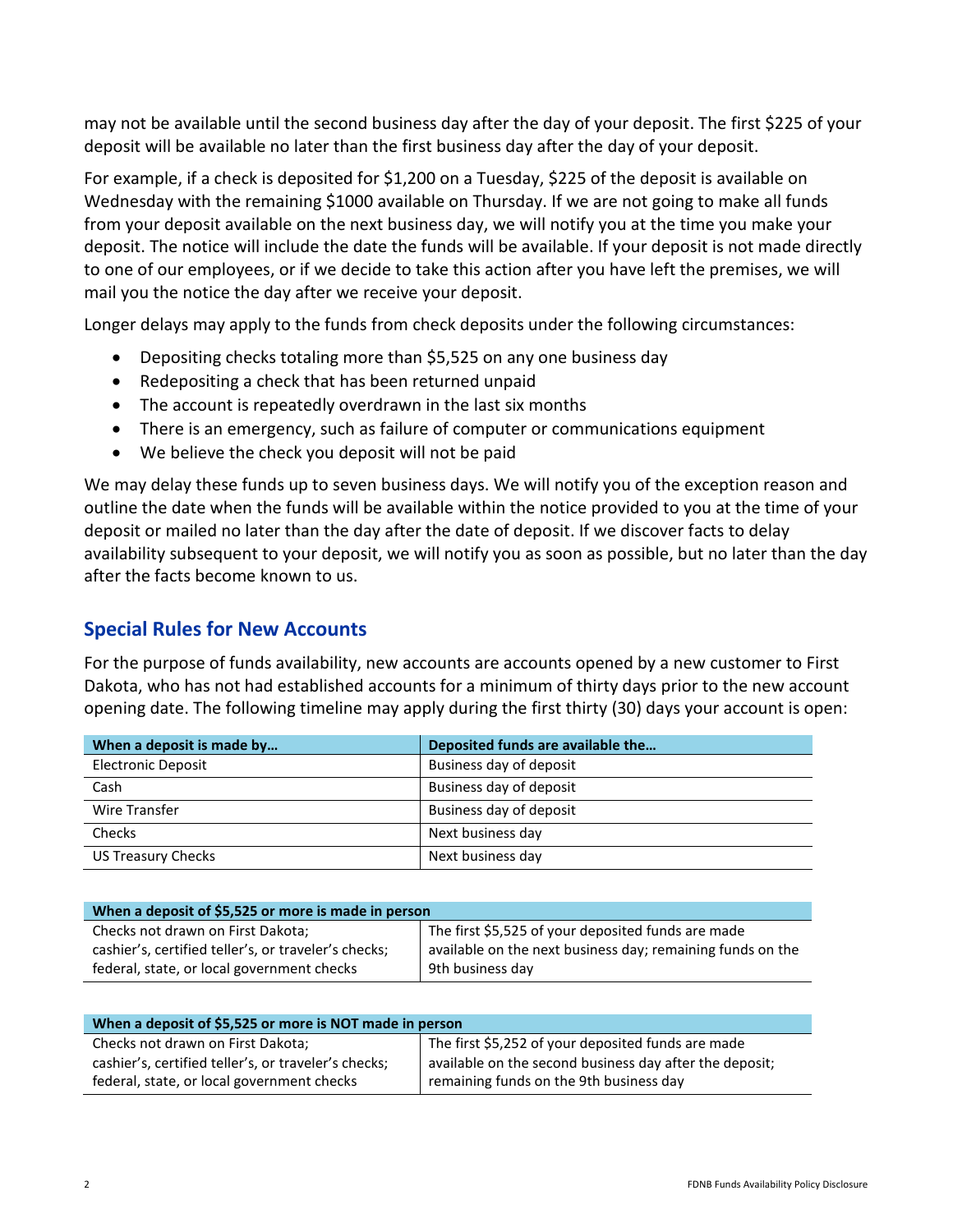may not be available until the second business day after the day of your deposit. The first \$225 of your deposit will be available no later than the first business day after the day of your deposit.

For example, if a check is deposited for \$1,200 on a Tuesday, \$225 of the deposit is available on Wednesday with the remaining \$1000 available on Thursday. If we are not going to make all funds from your deposit available on the next business day, we will notify you at the time you make your deposit. The notice will include the date the funds will be available. If your deposit is not made directly to one of our employees, or if we decide to take this action after you have left the premises, we will mail you the notice the day after we receive your deposit.

Longer delays may apply to the funds from check deposits under the following circumstances:

- Depositing checks totaling more than \$5,525 on any one business day
- Redepositing a check that has been returned unpaid
- The account is repeatedly overdrawn in the last six months
- There is an emergency, such as failure of computer or communications equipment
- We believe the check you deposit will not be paid

We may delay these funds up to seven business days. We will notify you of the exception reason and outline the date when the funds will be available within the notice provided to you at the time of your deposit or mailed no later than the day after the date of deposit. If we discover facts to delay availability subsequent to your deposit, we will notify you as soon as possible, but no later than the day after the facts become known to us.

### **Special Rules for New Accounts**

For the purpose of funds availability, new accounts are accounts opened by a new customer to First Dakota, who has not had established accounts for a minimum of thirty days prior to the new account opening date. The following timeline may apply during the first thirty (30) days your account is open:

| When a deposit is made by | Deposited funds are available the |
|---------------------------|-----------------------------------|
| <b>Electronic Deposit</b> | Business day of deposit           |
| Cash                      | Business day of deposit           |
| Wire Transfer             | Business day of deposit           |
| Checks                    | Next business day                 |
| <b>US Treasury Checks</b> | Next business day                 |

| When a deposit of \$5,525 or more is made in person  |                                                            |  |
|------------------------------------------------------|------------------------------------------------------------|--|
| Checks not drawn on First Dakota;                    | The first \$5,525 of your deposited funds are made         |  |
| cashier's, certified teller's, or traveler's checks; | available on the next business day; remaining funds on the |  |
| federal, state, or local government checks           | 9th business day                                           |  |

| When a deposit of \$5,525 or more is NOT made in person |                                                         |  |
|---------------------------------------------------------|---------------------------------------------------------|--|
| Checks not drawn on First Dakota;                       | The first \$5,252 of your deposited funds are made      |  |
| cashier's, certified teller's, or traveler's checks;    | available on the second business day after the deposit; |  |
| federal, state, or local government checks              | remaining funds on the 9th business day                 |  |